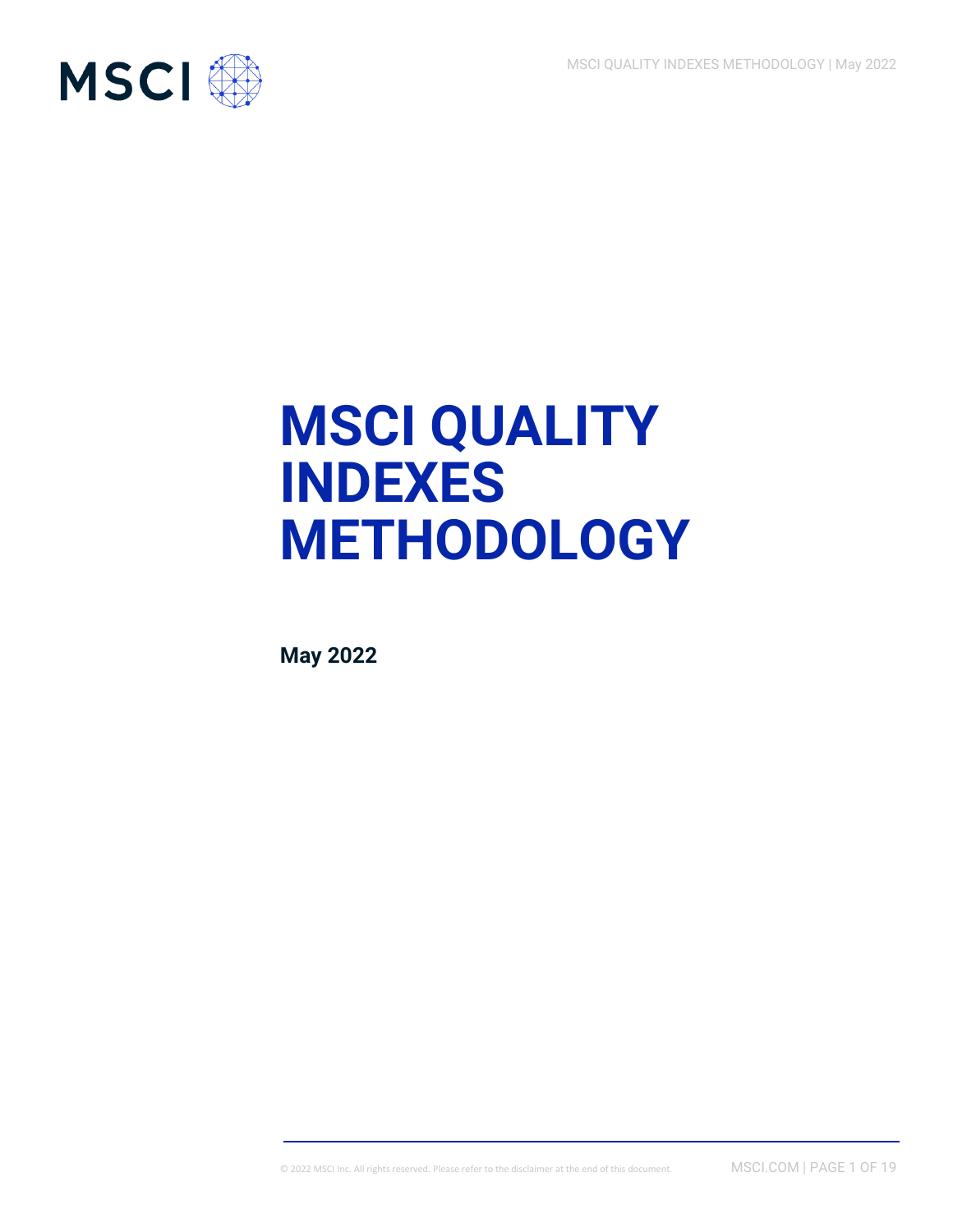

# **MSCI QUALITY INDEXES METHODOLOGY**

**May 2022**

© 2022 MSCI Inc. All rights reserved. Please refer to the disclaimer at the end of this document. MSCI.COM | PAGE 1 OF 19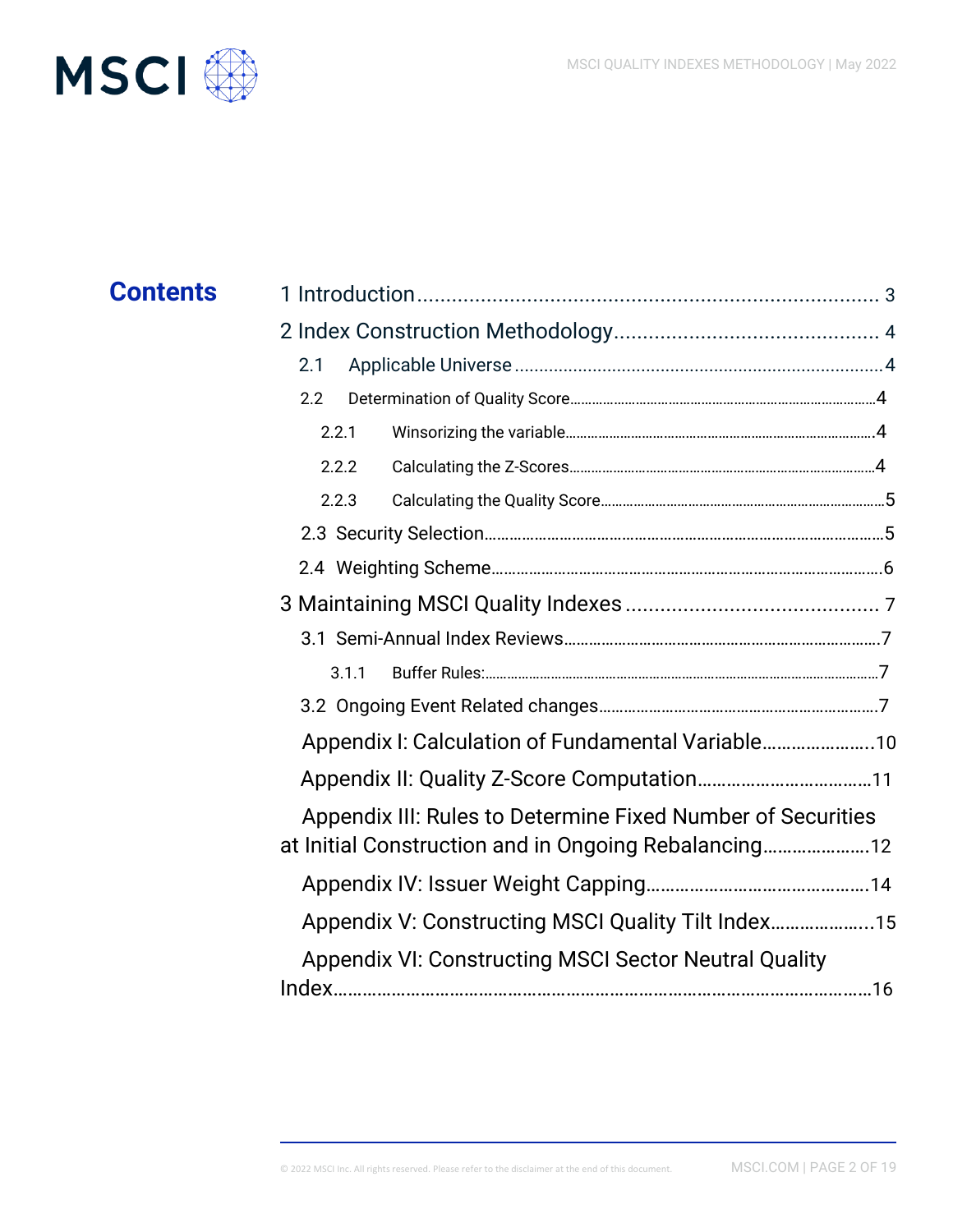

| <b>Contents</b> |                                                              |  |  |  |  |
|-----------------|--------------------------------------------------------------|--|--|--|--|
|                 |                                                              |  |  |  |  |
|                 | 2.1                                                          |  |  |  |  |
|                 | 2.2                                                          |  |  |  |  |
|                 | 2.2.1                                                        |  |  |  |  |
|                 | 2.2.2                                                        |  |  |  |  |
|                 | 2.2.3                                                        |  |  |  |  |
|                 |                                                              |  |  |  |  |
|                 |                                                              |  |  |  |  |
|                 |                                                              |  |  |  |  |
|                 |                                                              |  |  |  |  |
|                 | 3.1.1                                                        |  |  |  |  |
|                 |                                                              |  |  |  |  |
|                 | Appendix I: Calculation of Fundamental Variable 10           |  |  |  |  |
|                 |                                                              |  |  |  |  |
|                 | Appendix III: Rules to Determine Fixed Number of Securities  |  |  |  |  |
|                 | at Initial Construction and in Ongoing Rebalancing           |  |  |  |  |
|                 |                                                              |  |  |  |  |
|                 | Appendix V: Constructing MSCI Quality Tilt Index             |  |  |  |  |
|                 | <b>Appendix VI: Constructing MSCI Sector Neutral Quality</b> |  |  |  |  |
|                 |                                                              |  |  |  |  |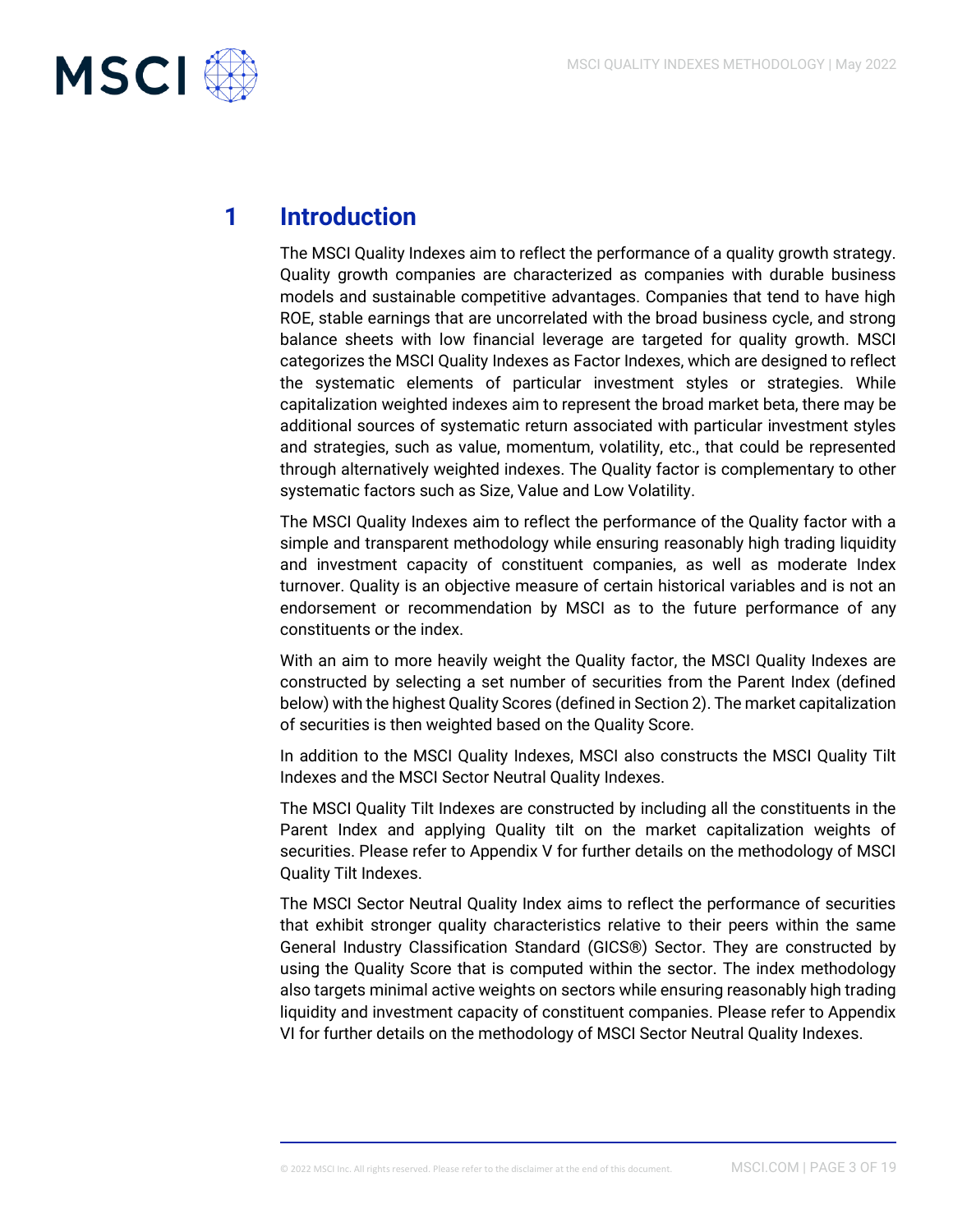

# **1 Introduction**

The MSCI Quality Indexes aim to reflect the performance of a quality growth strategy. Quality growth companies are characterized as companies with durable business models and sustainable competitive advantages. Companies that tend to have high ROE, stable earnings that are uncorrelated with the broad business cycle, and strong balance sheets with low financial leverage are targeted for quality growth. MSCI categorizes the MSCI Quality Indexes as Factor Indexes, which are designed to reflect the systematic elements of particular investment styles or strategies. While capitalization weighted indexes aim to represent the broad market beta, there may be additional sources of systematic return associated with particular investment styles and strategies, such as value, momentum, volatility, etc., that could be represented through alternatively weighted indexes. The Quality factor is complementary to other systematic factors such as Size, Value and Low Volatility.

The MSCI Quality Indexes aim to reflect the performance of the Quality factor with a simple and transparent methodology while ensuring reasonably high trading liquidity and investment capacity of constituent companies, as well as moderate Index turnover. Quality is an objective measure of certain historical variables and is not an endorsement or recommendation by MSCI as to the future performance of any constituents or the index.

With an aim to more heavily weight the Quality factor, the MSCI Quality Indexes are constructed by selecting a set number of securities from the Parent Index (defined below) with the highest Quality Scores (defined in Section 2). The market capitalization of securities is then weighted based on the Quality Score.

In addition to the MSCI Quality Indexes, MSCI also constructs the MSCI Quality Tilt Indexes and the MSCI Sector Neutral Quality Indexes.

The MSCI Quality Tilt Indexes are constructed by including all the constituents in the Parent Index and applying Quality tilt on the market capitalization weights of securities. Please refer to Appendix V for further details on the methodology of MSCI Quality Tilt Indexes.

The MSCI Sector Neutral Quality Index aims to reflect the performance of securities that exhibit stronger quality characteristics relative to their peers within the same General Industry Classification Standard (GICS®) Sector. They are constructed by using the Quality Score that is computed within the sector. The index methodology also targets minimal active weights on sectors while ensuring reasonably high trading liquidity and investment capacity of constituent companies. Please refer to Appendix VI for further details on the methodology of MSCI Sector Neutral Quality Indexes.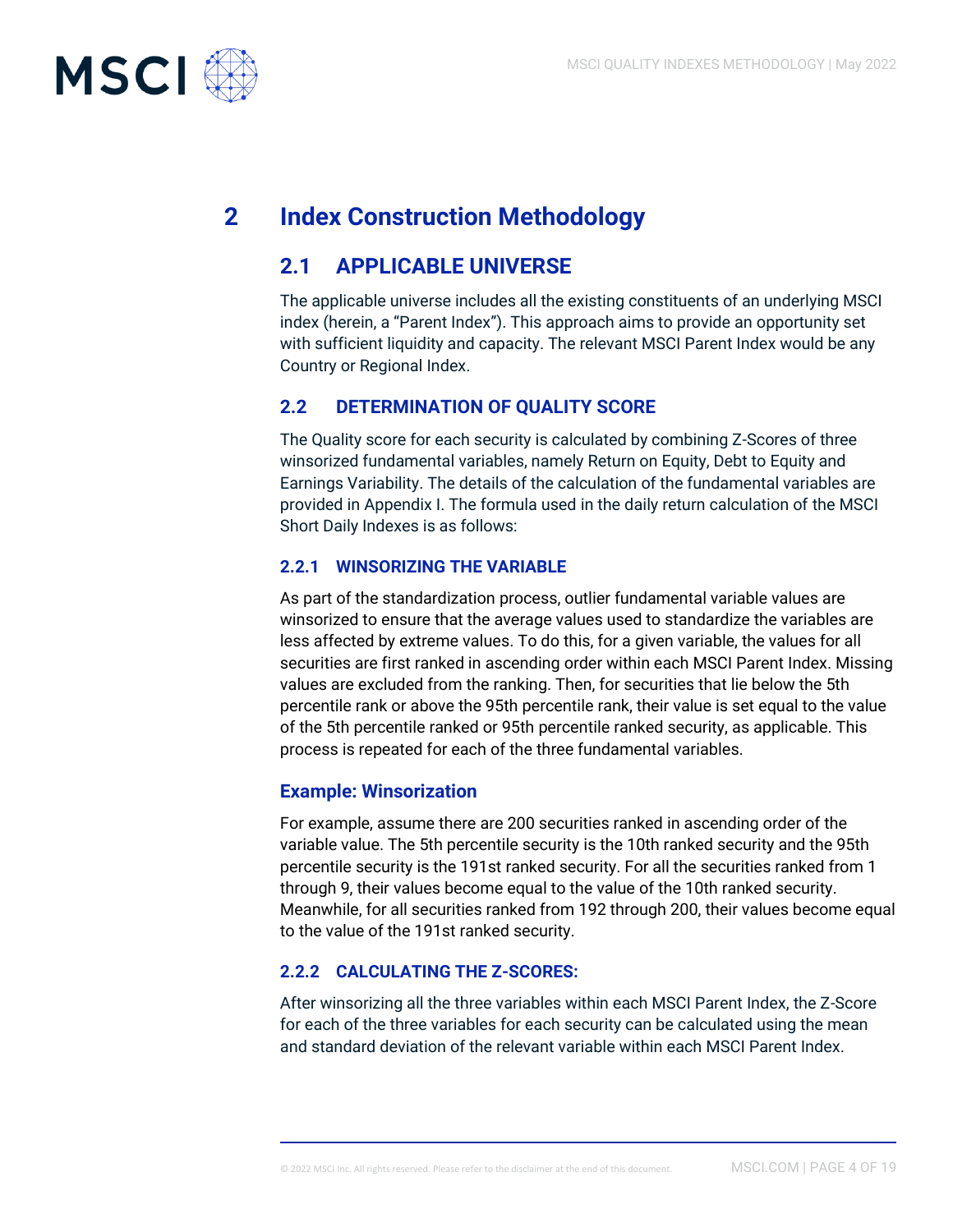

# **2 Index Construction Methodology**

# **2.1 APPLICABLE UNIVERSE**

The applicable universe includes all the existing constituents of an underlying MSCI index (herein, a "Parent Index"). This approach aims to provide an opportunity set with sufficient liquidity and capacity. The relevant MSCI Parent Index would be any Country or Regional Index.

### **2.2 DETERMINATION OF QUALITY SCORE**

The Quality score for each security is calculated by combining Z-Scores of three winsorized fundamental variables, namely Return on Equity, Debt to Equity and Earnings Variability. The details of the calculation of the fundamental variables are provided in Appendix I. The formula used in the daily return calculation of the MSCI Short Daily Indexes is as follows:

#### **2.2.1 WINSORIZING THE VARIABLE**

As part of the standardization process, outlier fundamental variable values are winsorized to ensure that the average values used to standardize the variables are less affected by extreme values. To do this, for a given variable, the values for all securities are first ranked in ascending order within each MSCI Parent Index. Missing values are excluded from the ranking. Then, for securities that lie below the 5th percentile rank or above the 95th percentile rank, their value is set equal to the value of the 5th percentile ranked or 95th percentile ranked security, as applicable. This process is repeated for each of the three fundamental variables.

#### **Example: Winsorization**

For example, assume there are 200 securities ranked in ascending order of the variable value. The 5th percentile security is the 10th ranked security and the 95th percentile security is the 191st ranked security. For all the securities ranked from 1 through 9, their values become equal to the value of the 10th ranked security. Meanwhile, for all securities ranked from 192 through 200, their values become equal to the value of the 191st ranked security.

### **2.2.2 CALCULATING THE Z-SCORES:**

After winsorizing all the three variables within each MSCI Parent Index, the Z-Score for each of the three variables for each security can be calculated using the mean and standard deviation of the relevant variable within each MSCI Parent Index.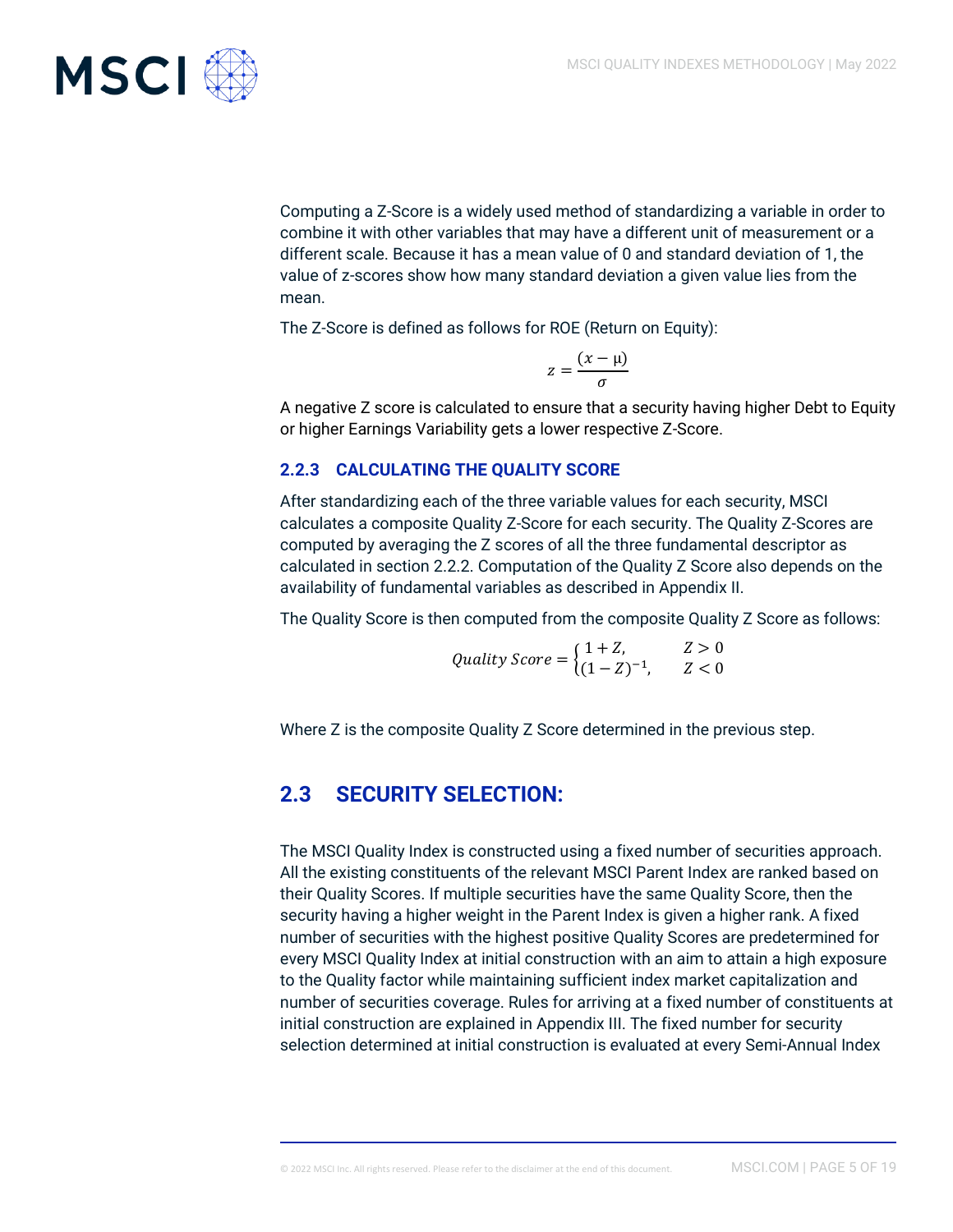

Computing a Z-Score is a widely used method of standardizing a variable in order to combine it with other variables that may have a different unit of measurement or a different scale. Because it has a mean value of 0 and standard deviation of 1, the value of z-scores show how many standard deviation a given value lies from the mean.

The Z-Score is defined as follows for ROE (Return on Equity):

$$
z = \frac{(x - \mu)}{\sigma}
$$

A negative Z score is calculated to ensure that a security having higher Debt to Equity or higher Earnings Variability gets a lower respective Z-Score.

#### **2.2.3 CALCULATING THE QUALITY SCORE**

After standardizing each of the three variable values for each security, MSCI calculates a composite Quality Z-Score for each security. The Quality Z-Scores are computed by averaging the Z scores of all the three fundamental descriptor as calculated in section 2.2.2. Computation of the Quality Z Score also depends on the availability of fundamental variables as described in Appendix II.

The Quality Score is then computed from the composite Quality Z Score as follows:

*Quality Score* = 
$$
\begin{cases} 1 + Z, & Z > 0 \\ (1 - Z)^{-1}, & Z < 0 \end{cases}
$$

Where Z is the composite Quality Z Score determined in the previous step.

# **2.3 SECURITY SELECTION:**

The MSCI Quality Index is constructed using a fixed number of securities approach. All the existing constituents of the relevant MSCI Parent Index are ranked based on their Quality Scores. If multiple securities have the same Quality Score, then the security having a higher weight in the Parent Index is given a higher rank. A fixed number of securities with the highest positive Quality Scores are predetermined for every MSCI Quality Index at initial construction with an aim to attain a high exposure to the Quality factor while maintaining sufficient index market capitalization and number of securities coverage. Rules for arriving at a fixed number of constituents at initial construction are explained in Appendix III. The fixed number for security selection determined at initial construction is evaluated at every Semi-Annual Index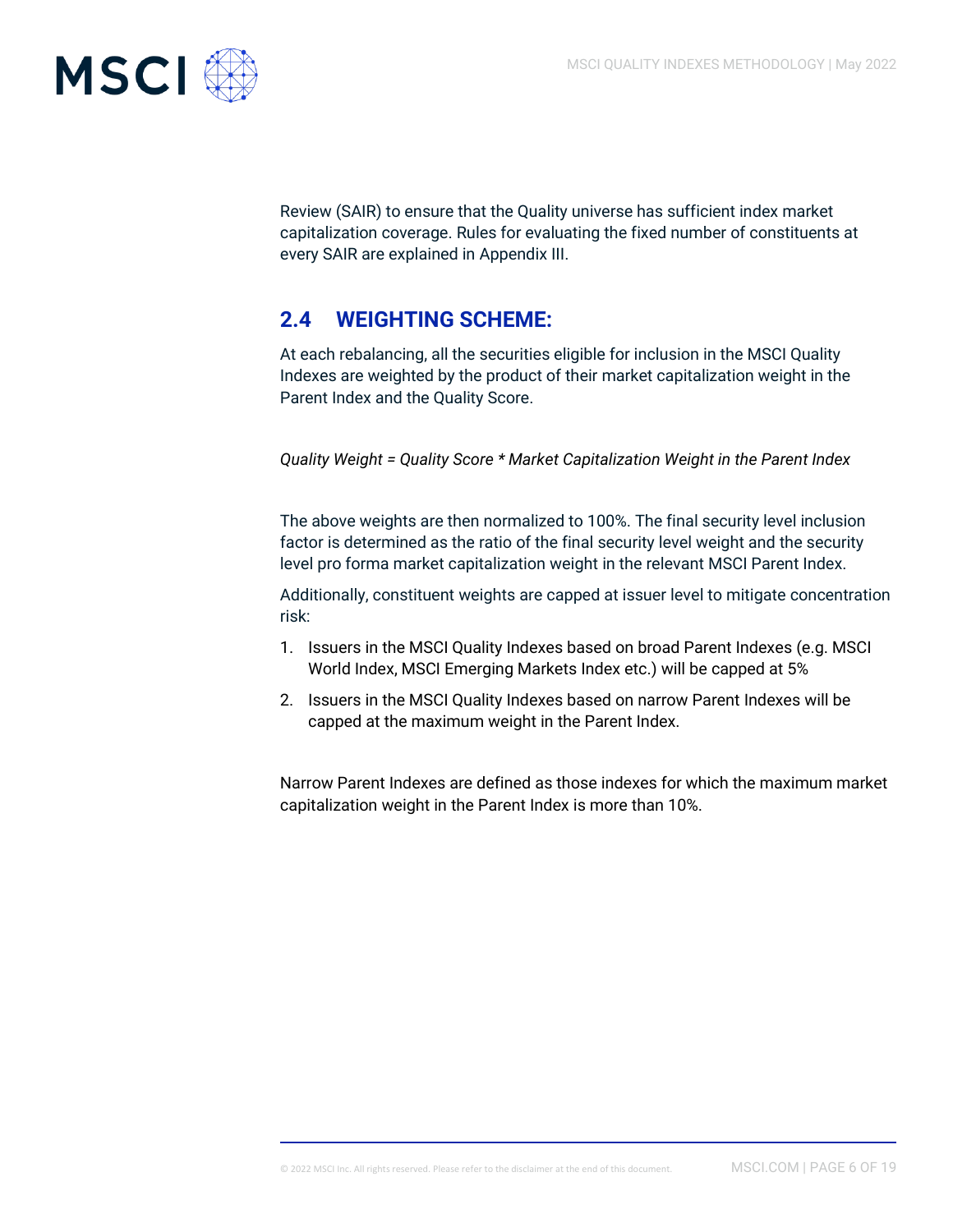

Review (SAIR) to ensure that the Quality universe has sufficient index market capitalization coverage. Rules for evaluating the fixed number of constituents at every SAIR are explained in Appendix III.

# **2.4 WEIGHTING SCHEME:**

At each rebalancing, all the securities eligible for inclusion in the MSCI Quality Indexes are weighted by the product of their market capitalization weight in the Parent Index and the Quality Score.

*Quality Weight = Quality Score \* Market Capitalization Weight in the Parent Index*

The above weights are then normalized to 100%. The final security level inclusion factor is determined as the ratio of the final security level weight and the security level pro forma market capitalization weight in the relevant MSCI Parent Index.

Additionally, constituent weights are capped at issuer level to mitigate concentration risk:

- 1. Issuers in the MSCI Quality Indexes based on broad Parent Indexes (e.g. MSCI World Index, MSCI Emerging Markets Index etc.) will be capped at 5%
- 2. Issuers in the MSCI Quality Indexes based on narrow Parent Indexes will be capped at the maximum weight in the Parent Index.

Narrow Parent Indexes are defined as those indexes for which the maximum market capitalization weight in the Parent Index is more than 10%.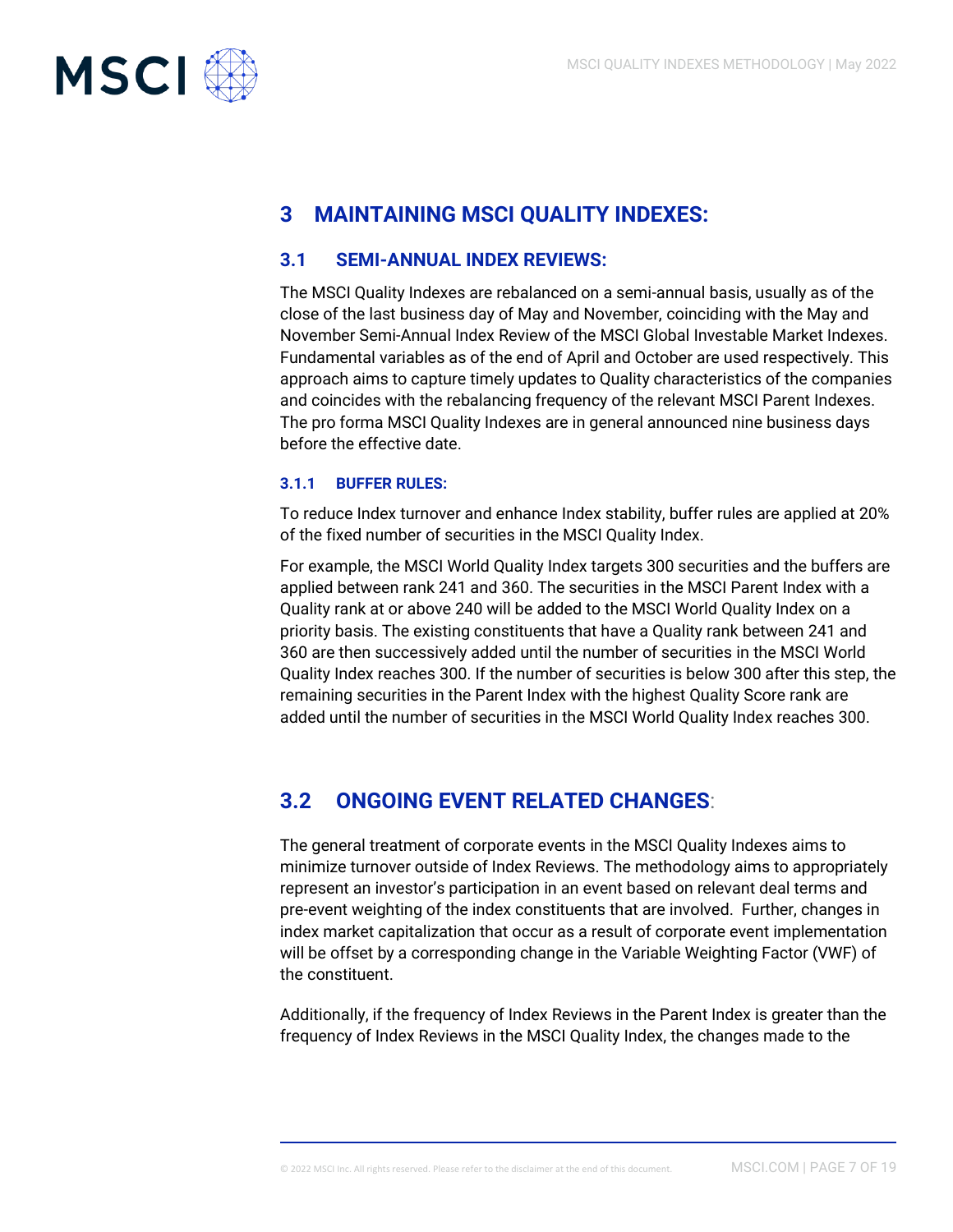

# **3 MAINTAINING MSCI QUALITY INDEXES:**

#### **3.1 SEMI-ANNUAL INDEX REVIEWS:**

The MSCI Quality Indexes are rebalanced on a semi-annual basis, usually as of the close of the last business day of May and November, coinciding with the May and November Semi-Annual Index Review of the MSCI Global Investable Market Indexes. Fundamental variables as of the end of April and October are used respectively. This approach aims to capture timely updates to Quality characteristics of the companies and coincides with the rebalancing frequency of the relevant MSCI Parent Indexes. The pro forma MSCI Quality Indexes are in general announced nine business days before the effective date.

#### **3.1.1 BUFFER RULES:**

To reduce Index turnover and enhance Index stability, buffer rules are applied at 20% of the fixed number of securities in the MSCI Quality Index.

For example, the MSCI World Quality Index targets 300 securities and the buffers are applied between rank 241 and 360. The securities in the MSCI Parent Index with a Quality rank at or above 240 will be added to the MSCI World Quality Index on a priority basis. The existing constituents that have a Quality rank between 241 and 360 are then successively added until the number of securities in the MSCI World Quality Index reaches 300. If the number of securities is below 300 after this step, the remaining securities in the Parent Index with the highest Quality Score rank are added until the number of securities in the MSCI World Quality Index reaches 300.

# **3.2 ONGOING EVENT RELATED CHANGES**:

The general treatment of corporate events in the MSCI Quality Indexes aims to minimize turnover outside of Index Reviews. The methodology aims to appropriately represent an investor's participation in an event based on relevant deal terms and pre-event weighting of the index constituents that are involved. Further, changes in index market capitalization that occur as a result of corporate event implementation will be offset by a corresponding change in the Variable Weighting Factor (VWF) of the constituent.

Additionally, if the frequency of Index Reviews in the Parent Index is greater than the frequency of Index Reviews in the MSCI Quality Index, the changes made to the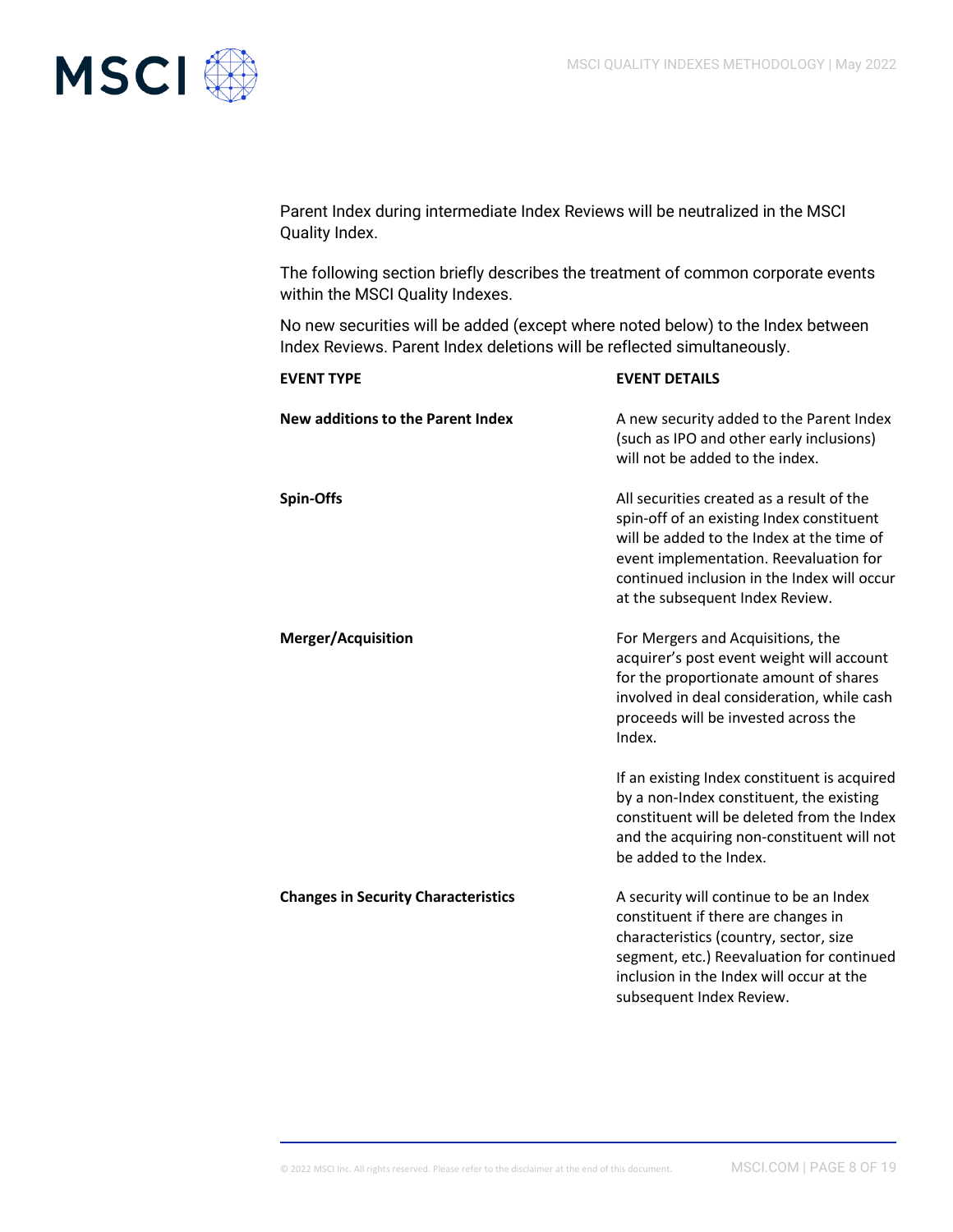

Parent Index during intermediate Index Reviews will be neutralized in the MSCI Quality Index.

The following section briefly describes the treatment of common corporate events within the MSCI Quality Indexes.

No new securities will be added (except where noted below) to the Index between Index Reviews. Parent Index deletions will be reflected simultaneously.

| <b>EVENT TYPE</b>                          | <b>EVENT DETAILS</b>                                                                                                                                                                                                                                            |
|--------------------------------------------|-----------------------------------------------------------------------------------------------------------------------------------------------------------------------------------------------------------------------------------------------------------------|
| New additions to the Parent Index          | A new security added to the Parent Index<br>(such as IPO and other early inclusions)<br>will not be added to the index.                                                                                                                                         |
| <b>Spin-Offs</b>                           | All securities created as a result of the<br>spin-off of an existing Index constituent<br>will be added to the Index at the time of<br>event implementation. Reevaluation for<br>continued inclusion in the Index will occur<br>at the subsequent Index Review. |
| <b>Merger/Acquisition</b>                  | For Mergers and Acquisitions, the<br>acquirer's post event weight will account<br>for the proportionate amount of shares<br>involved in deal consideration, while cash<br>proceeds will be invested across the<br>Index.                                        |
|                                            | If an existing Index constituent is acquired<br>by a non-Index constituent, the existing<br>constituent will be deleted from the Index<br>and the acquiring non-constituent will not<br>be added to the Index.                                                  |
| <b>Changes in Security Characteristics</b> | A security will continue to be an Index<br>constituent if there are changes in<br>characteristics (country, sector, size<br>segment, etc.) Reevaluation for continued<br>inclusion in the Index will occur at the<br>subsequent Index Review.                   |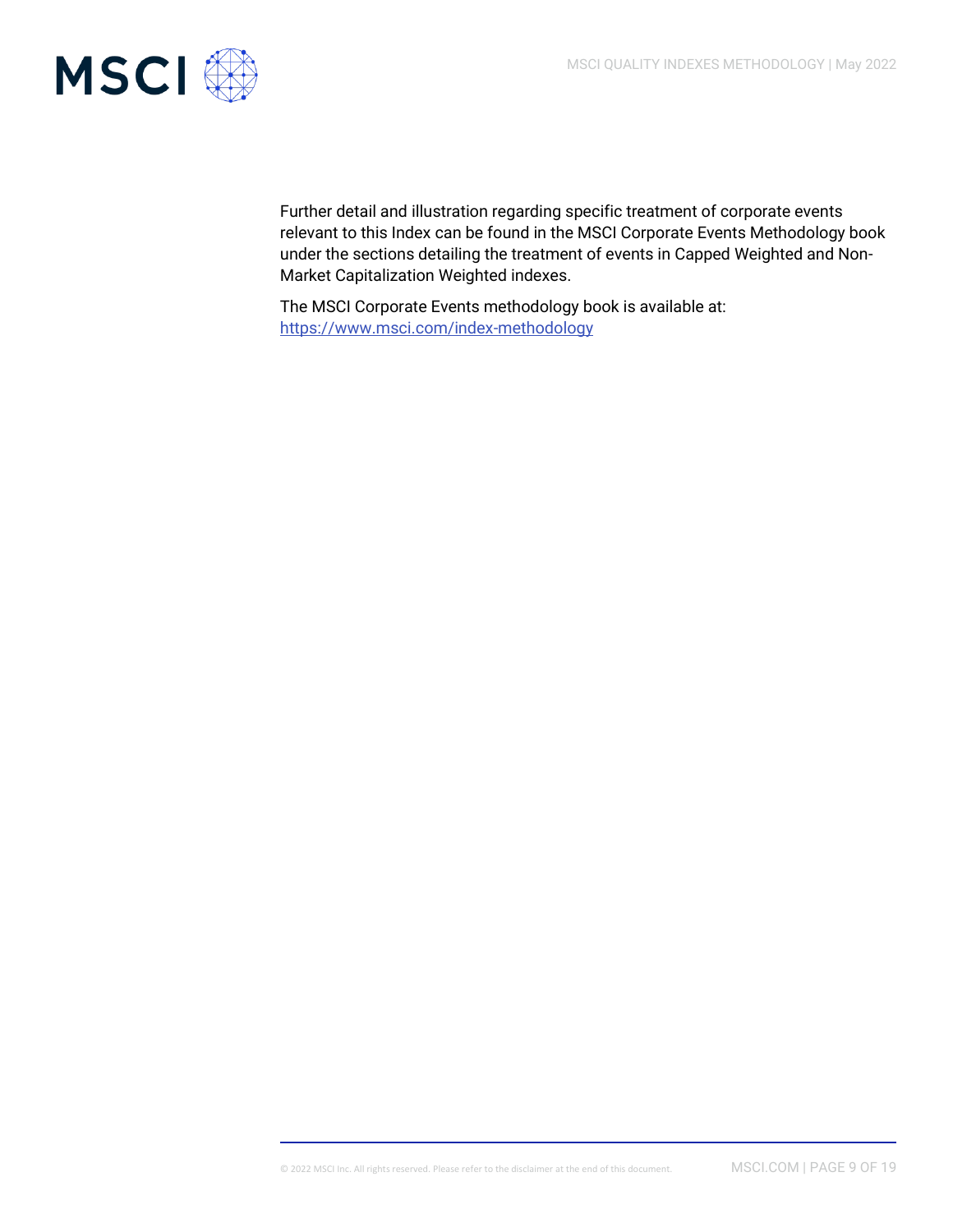

Further detail and illustration regarding specific treatment of corporate events relevant to this Index can be found in the MSCI Corporate Events Methodology book under the sections detailing the treatment of events in Capped Weighted and Non-Market Capitalization Weighted indexes.

The MSCI Corporate Events methodology book is available at: <https://www.msci.com/index-methodology>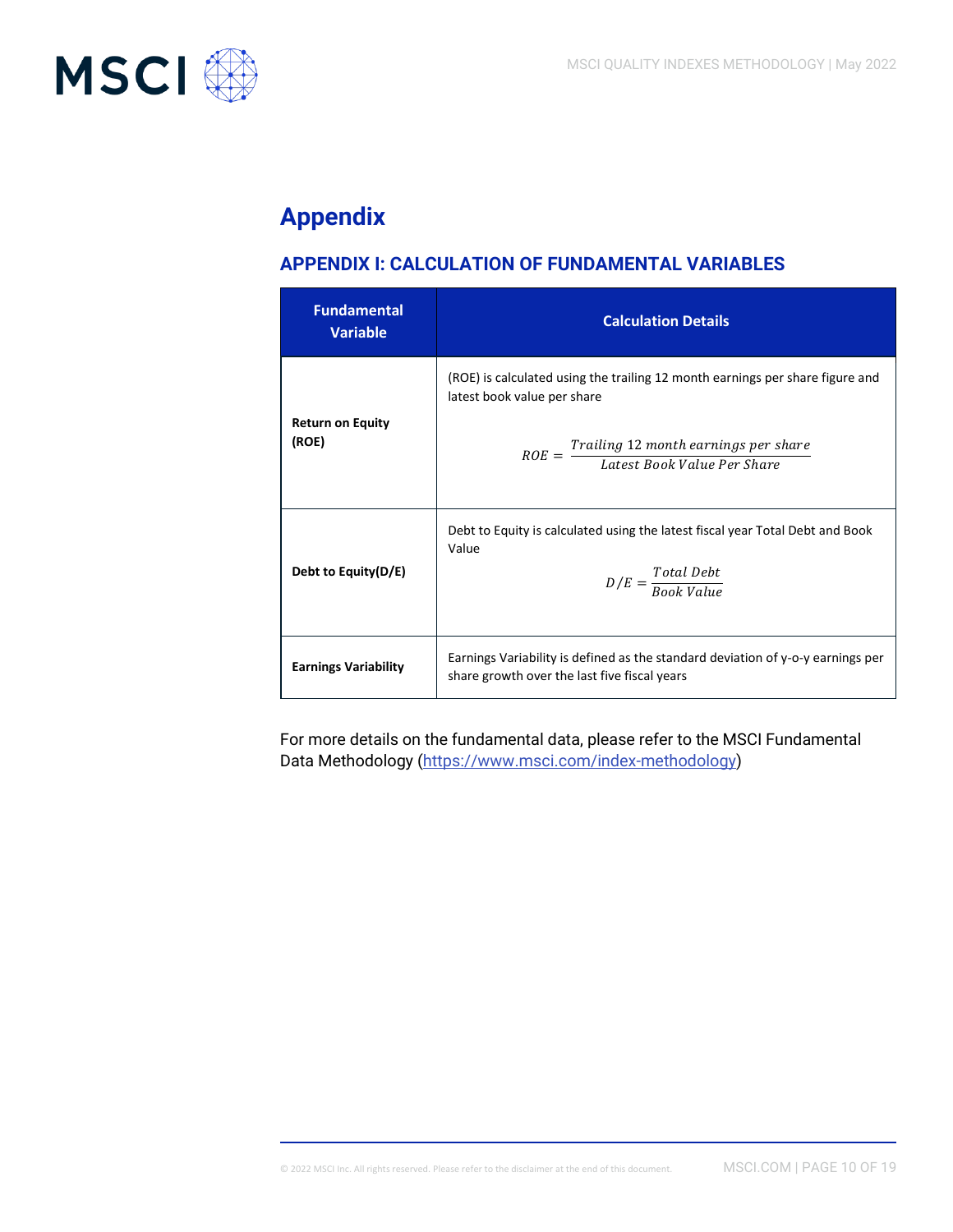

# **Appendix**

# **APPENDIX I: CALCULATION OF FUNDAMENTAL VARIABLES**

| <b>Fundamental</b><br><b>Variable</b> | <b>Calculation Details</b>                                                                                                                                                                                |
|---------------------------------------|-----------------------------------------------------------------------------------------------------------------------------------------------------------------------------------------------------------|
| <b>Return on Equity</b><br>(ROE)      | (ROE) is calculated using the trailing 12 month earnings per share figure and<br>latest book value per share<br>$ROE = \frac{Training\ 12\,month\,earnings\,per\,share}{Latest\,Book\,Value\,Per\,Share}$ |
| Debt to Equity(D/E)                   | Debt to Equity is calculated using the latest fiscal year Total Debt and Book<br>Value<br>$D/E = \frac{Total\;Debt}{Roob\;Vole}$                                                                          |
| <b>Earnings Variability</b>           | Earnings Variability is defined as the standard deviation of y-o-y earnings per<br>share growth over the last five fiscal years                                                                           |

For more details on the fundamental data, please refer to the MSCI Fundamental Data Methodology [\(https://www.msci.com/index-methodology\)](https://www.msci.com/index-methodology)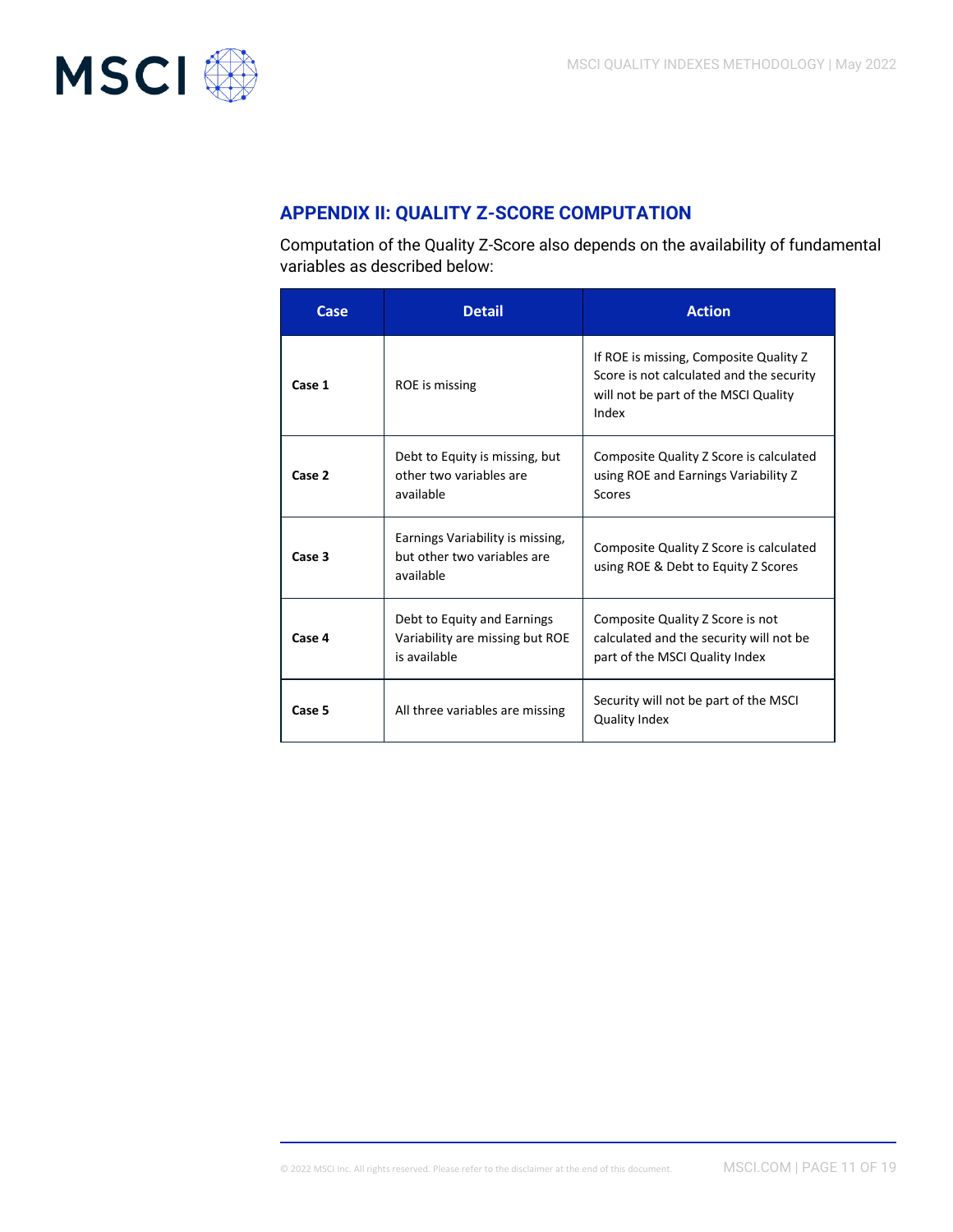

# **APPENDIX II: QUALITY Z-SCORE COMPUTATION**

Computation of the Quality Z-Score also depends on the availability of fundamental variables as described below:

| Case   | <b>Detail</b>                                                                  | <b>Action</b>                                                                                                                       |  |
|--------|--------------------------------------------------------------------------------|-------------------------------------------------------------------------------------------------------------------------------------|--|
| Case 1 | ROE is missing                                                                 | If ROE is missing, Composite Quality Z<br>Score is not calculated and the security<br>will not be part of the MSCI Quality<br>Index |  |
| Case 2 | Debt to Equity is missing, but<br>other two variables are<br>available         | Composite Quality Z Score is calculated<br>using ROE and Earnings Variability Z<br>Scores                                           |  |
| Case 3 | Earnings Variability is missing,<br>but other two variables are<br>available   | Composite Quality Z Score is calculated<br>using ROE & Debt to Equity Z Scores                                                      |  |
| Case 4 | Debt to Equity and Earnings<br>Variability are missing but ROE<br>is available | Composite Quality Z Score is not<br>calculated and the security will not be<br>part of the MSCI Quality Index                       |  |
| Case 5 | All three variables are missing                                                | Security will not be part of the MSCI<br><b>Quality Index</b>                                                                       |  |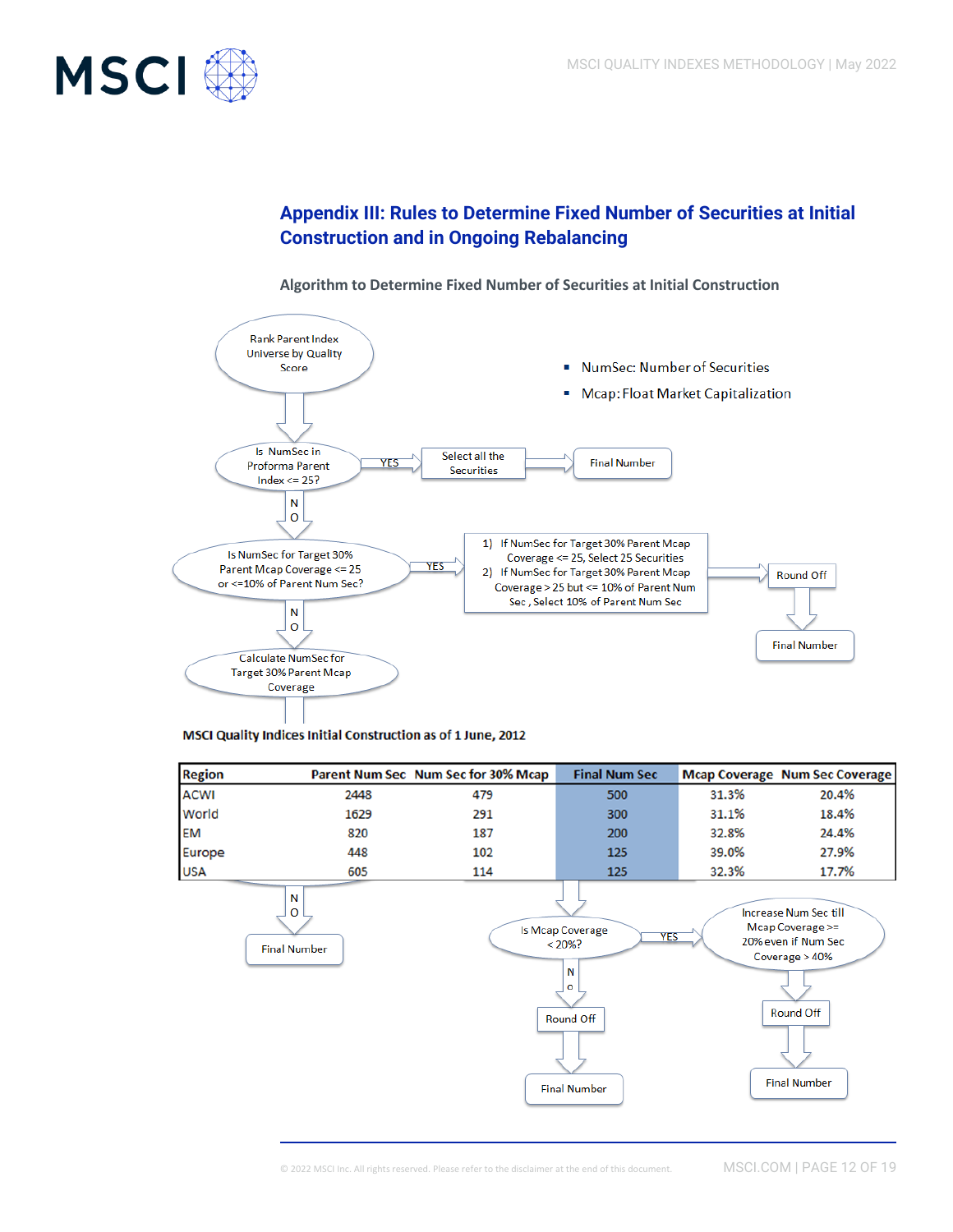

### **Appendix III: Rules to Determine Fixed Number of Securities at Initial Construction and in Ongoing Rebalancing**



#### **Algorithm to Determine Fixed Number of Securities at Initial Construction**

#### MSCI Quality Indices Initial Construction as of 1 June, 2012

| <b>Region</b> |      | Parent Num Sec Num Sec for 30% Mcap | <b>Final Num Sec</b> |       | <b>Mcap Coverage Num Sec Coverage</b> |
|---------------|------|-------------------------------------|----------------------|-------|---------------------------------------|
| <b>ACWI</b>   | 2448 | 479                                 | 500                  | 31.3% | 20.4%                                 |
| World         | 1629 | 291                                 | 300                  | 31.1% | 18.4%                                 |
| <b>EM</b>     | 820  | 187                                 | 200                  | 32.8% | 24.4%                                 |
| Europe        | 448  | 102                                 | 125                  | 39.0% | 27.9%                                 |
| <b>USA</b>    | 605  | 114                                 | 125                  | 32.3% | 17.7%                                 |

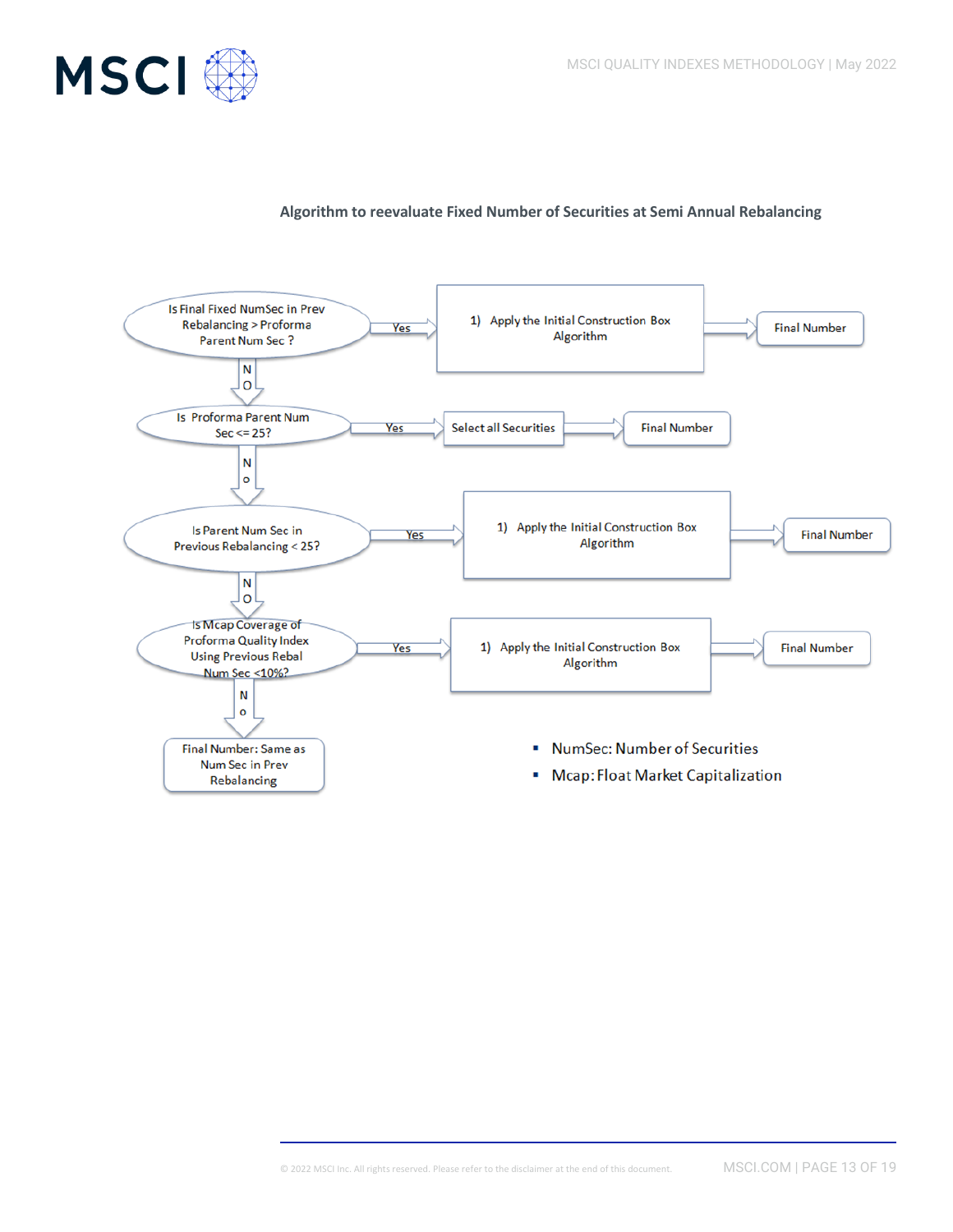

#### **Algorithm to reevaluate Fixed Number of Securities at Semi Annual Rebalancing**

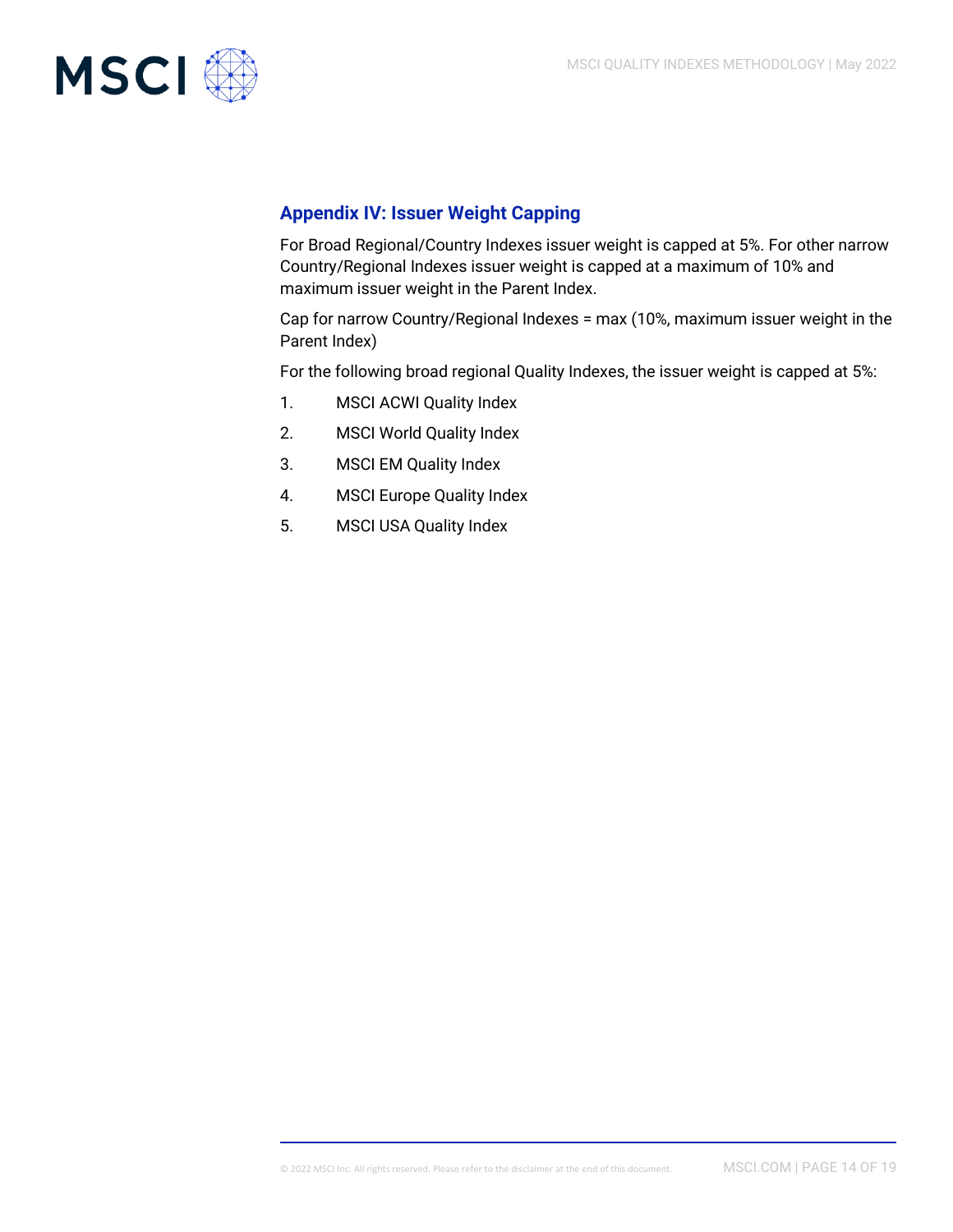

### **Appendix IV: Issuer Weight Capping**

For Broad Regional/Country Indexes issuer weight is capped at 5%. For other narrow Country/Regional Indexes issuer weight is capped at a maximum of 10% and maximum issuer weight in the Parent Index.

Cap for narrow Country/Regional Indexes = max (10%, maximum issuer weight in the Parent Index)

For the following broad regional Quality Indexes, the issuer weight is capped at 5%:

- 1. MSCI ACWI Quality Index
- 2. MSCI World Quality Index
- 3. MSCI EM Quality Index
- 4. MSCI Europe Quality Index
- 5. MSCI USA Quality Index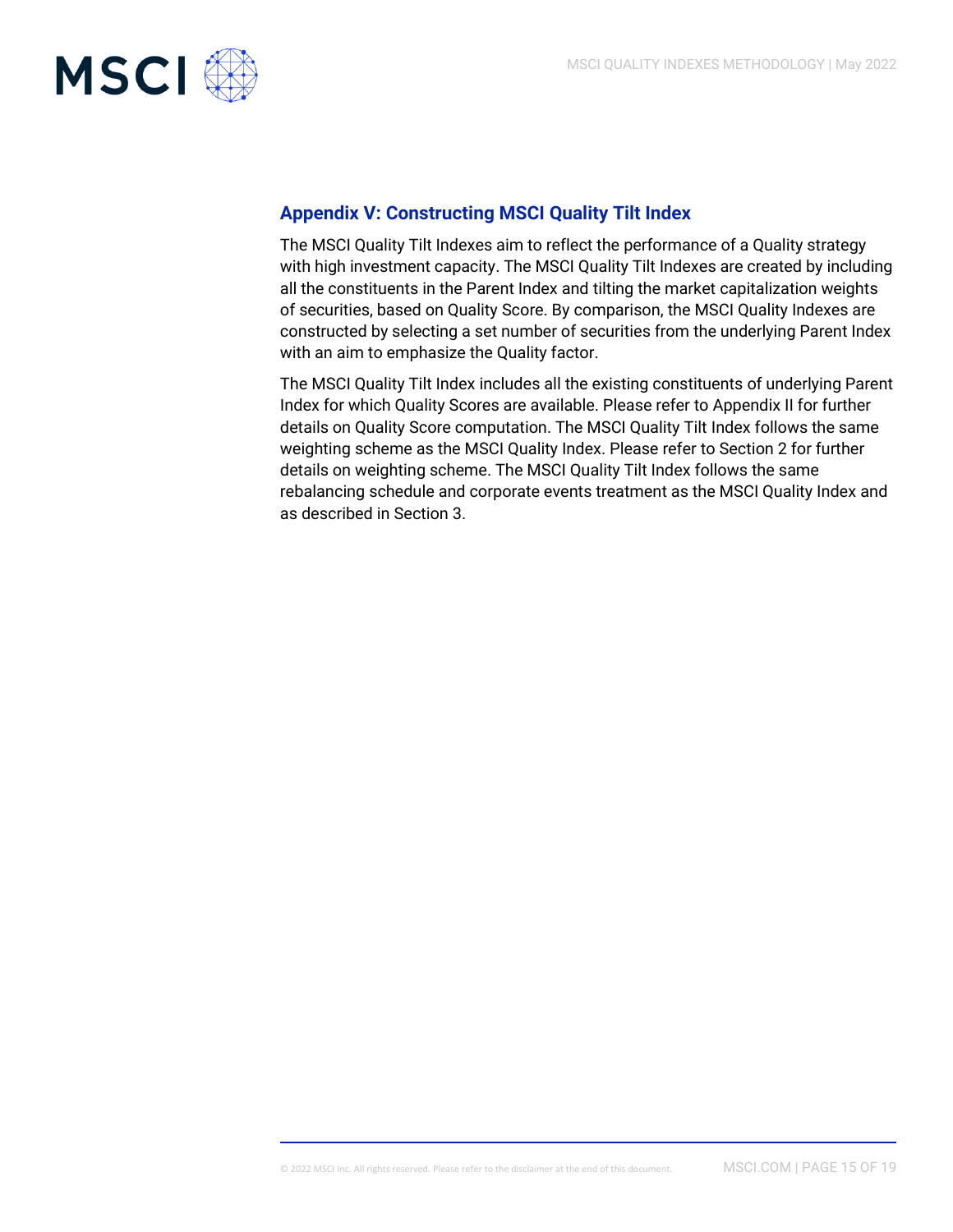

### **Appendix V: Constructing MSCI Quality Tilt Index**

The MSCI Quality Tilt Indexes aim to reflect the performance of a Quality strategy with high investment capacity. The MSCI Quality Tilt Indexes are created by including all the constituents in the Parent Index and tilting the market capitalization weights of securities, based on Quality Score. By comparison, the MSCI Quality Indexes are constructed by selecting a set number of securities from the underlying Parent Index with an aim to emphasize the Quality factor.

The MSCI Quality Tilt Index includes all the existing constituents of underlying Parent Index for which Quality Scores are available. Please refer to Appendix II for further details on Quality Score computation. The MSCI Quality Tilt Index follows the same weighting scheme as the MSCI Quality Index. Please refer to Section 2 for further details on weighting scheme. The MSCI Quality Tilt Index follows the same rebalancing schedule and corporate events treatment as the MSCI Quality Index and as described in Section 3.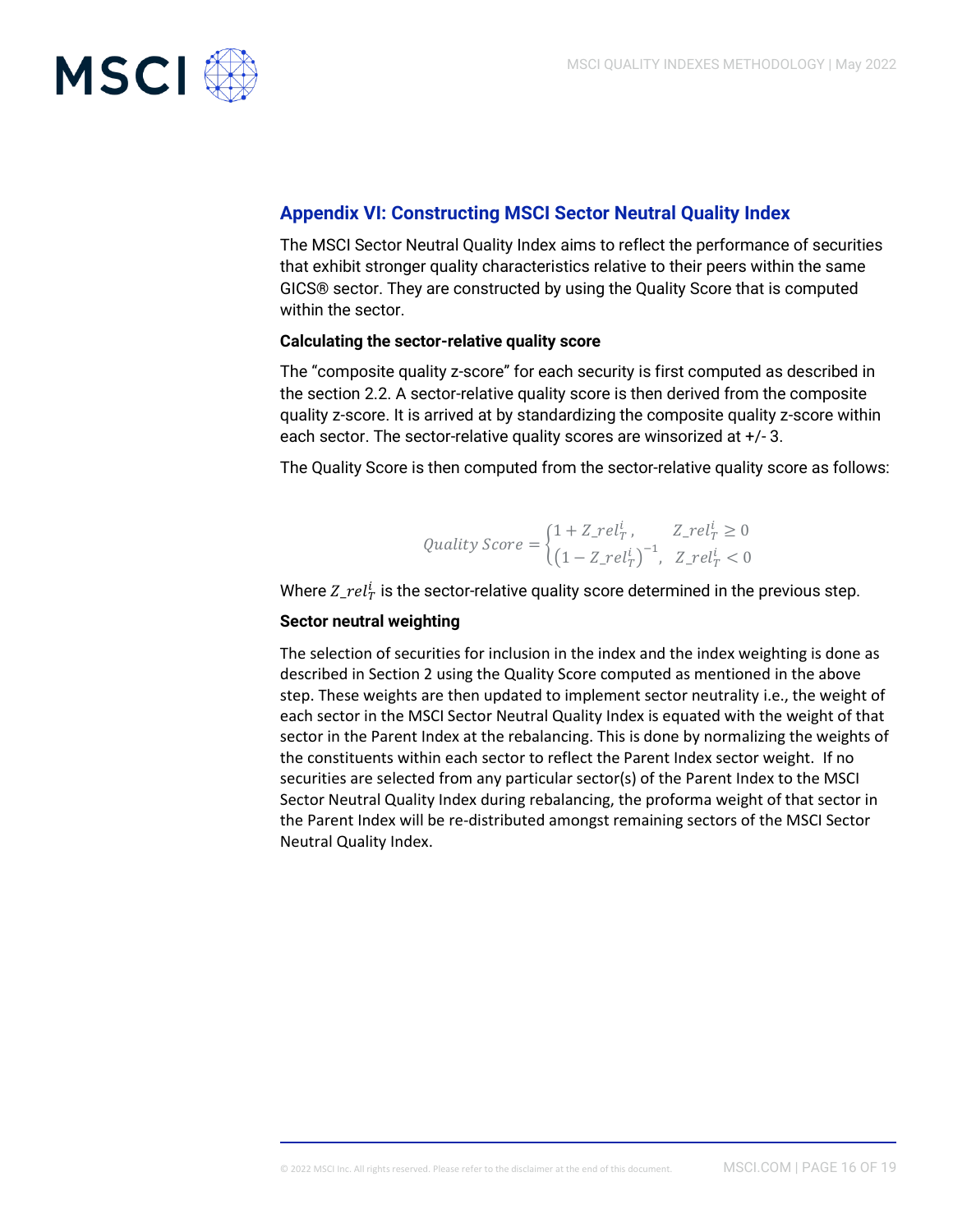

### **Appendix VI: Constructing MSCI Sector Neutral Quality Index**

The MSCI Sector Neutral Quality Index aims to reflect the performance of securities that exhibit stronger quality characteristics relative to their peers within the same GICS® sector. They are constructed by using the Quality Score that is computed within the sector.

#### **Calculating the sector-relative quality score**

The "composite quality z-score" for each security is first computed as described in the section 2.2. A sector-relative quality score is then derived from the composite quality z-score. It is arrived at by standardizing the composite quality z-score within each sector. The sector-relative quality scores are winsorized at +/- 3.

The Quality Score is then computed from the sector-relative quality score as follows:

*Quality Score* = 
$$
\begin{cases} 1 + Z_{\perp}rel_{T}^{i}, & Z_{\perp}rel_{T}^{i} \ge 0 \\ \left(1 - Z_{\perp}rel_{T}^{i}\right)^{-1}, & Z_{\perp}rel_{T}^{i} < 0 \end{cases}
$$

Where  $Z_{\perp} rel_{T}^{i}$  is the sector-relative quality score determined in the previous step.

#### **Sector neutral weighting**

The selection of securities for inclusion in the index and the index weighting is done as described in Section 2 using the Quality Score computed as mentioned in the above step. These weights are then updated to implement sector neutrality i.e., the weight of each sector in the MSCI Sector Neutral Quality Index is equated with the weight of that sector in the Parent Index at the rebalancing. This is done by normalizing the weights of the constituents within each sector to reflect the Parent Index sector weight. If no securities are selected from any particular sector(s) of the Parent Index to the MSCI Sector Neutral Quality Index during rebalancing, the proforma weight of that sector in the Parent Index will be re-distributed amongst remaining sectors of the MSCI Sector Neutral Quality Index.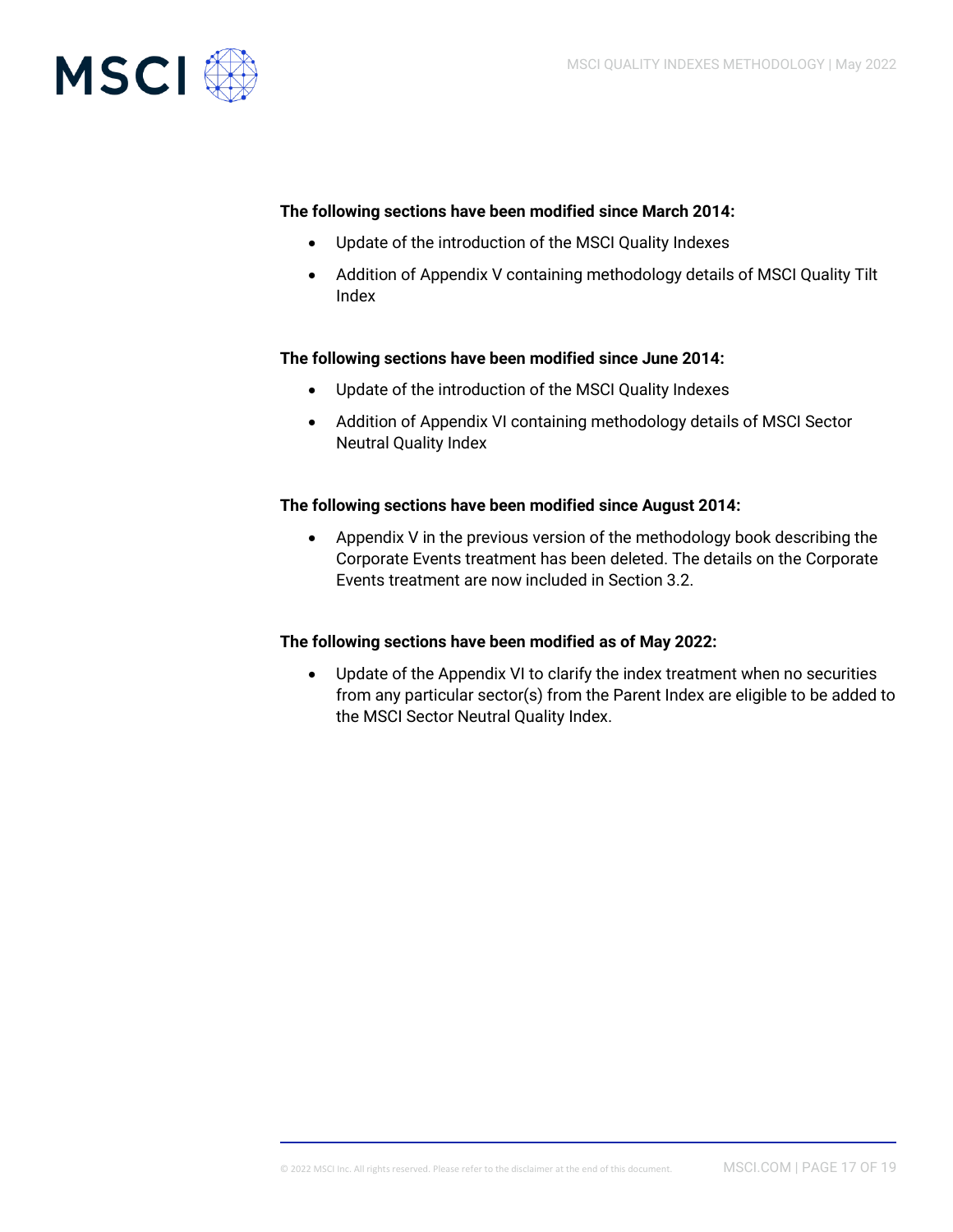

#### **The following sections have been modified since March 2014:**

- Update of the introduction of the MSCI Quality Indexes
- Addition of Appendix V containing methodology details of MSCI Quality Tilt Index

#### **The following sections have been modified since June 2014:**

- Update of the introduction of the MSCI Quality Indexes
- Addition of Appendix VI containing methodology details of MSCI Sector Neutral Quality Index

#### **The following sections have been modified since August 2014:**

• Appendix V in the previous version of the methodology book describing the Corporate Events treatment has been deleted. The details on the Corporate Events treatment are now included in Section 3.2.

#### **The following sections have been modified as of May 2022:**

• Update of the Appendix VI to clarify the index treatment when no securities from any particular sector(s) from the Parent Index are eligible to be added to the MSCI Sector Neutral Quality Index.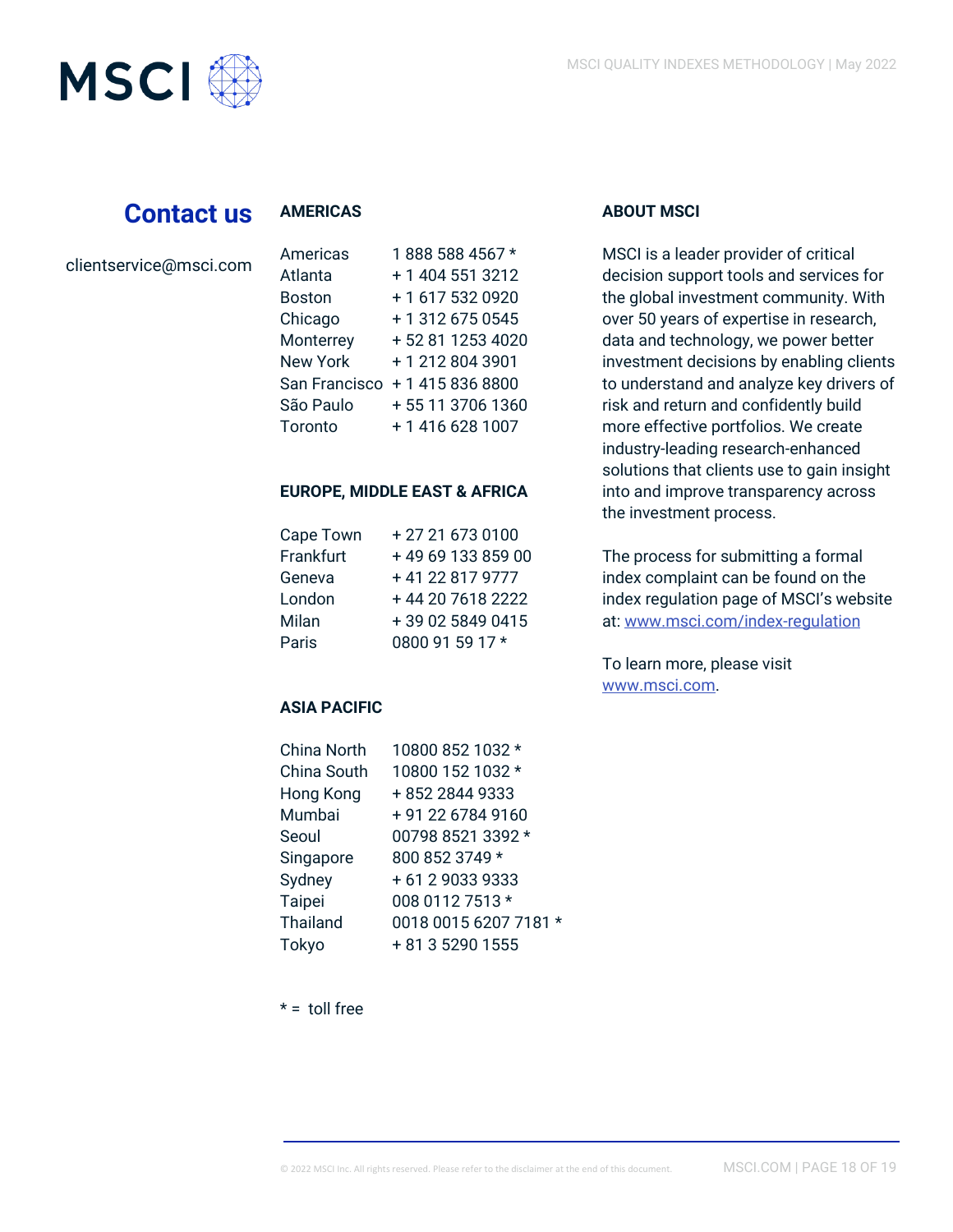

# **Contact us**

#### **AMERICAS**

|  |  |  |  |  |  |  |  | clientservice@msci.com |
|--|--|--|--|--|--|--|--|------------------------|
|--|--|--|--|--|--|--|--|------------------------|

| Americas        | 1888 588 4567 *  |
|-----------------|------------------|
| Atlanta         | + 1 404 551 3212 |
| Boston          | +1 617 532 0920  |
| Chicago         | +13126750545     |
| Monterrey       | +52 81 1253 4020 |
| <b>New York</b> | +12128043901     |
| San Francisco   | + 1 415 836 8800 |
| São Paulo       | +55 11 3706 1360 |
| Toronto         | +14166281007     |

#### **EUROPE, MIDDLE EAST & AFRICA**

| Cape Town | +27 21 673 0100   |
|-----------|-------------------|
| Frankfurt | +49 69 133 859 00 |
| Geneva    | +41 22 817 9777   |
| London    | +44 20 7618 2222  |
| Milan     | +39 02 5849 0415  |
| Paris     | 0800 91 59 17 *   |

#### **ASIA PACIFIC**

| <b>China North</b> | 10800 852 1032 *      |
|--------------------|-----------------------|
| China South        | 10800 152 1032 *      |
| Hong Kong          | +852 2844 9333        |
| Mumbai             | +91 22 6784 9160      |
| Seoul              | 00798 8521 3392 *     |
| Singapore          | 800 852 3749 *        |
| Sydney             | +61290339333          |
| Taipei             | 008 0112 7513 *       |
| Thailand           | 0018 0015 6207 7181 * |
| Tokyo              | + 81 3 5290 1555      |

# **ABOUT MSCI**

MSCI is a leader provider of critical decision support tools and services for the global investment community. With over 50 years of expertise in research, data and technology, we power better investment decisions by enabling clients to understand and analyze key drivers of risk and return and confidently build more effective portfolios. We create industry-leading research-enhanced solutions that clients use to gain insight into and improve transparency across the investment process.

The process for submitting a formal index complaint can be found on the index regulation page of MSCI's website at: [www.msci.com/index-regulation](https://www.msci.com/indexregulation)

To learn more, please visit [www.msci.com.](http://www.msci.com/)

 $* =$  toll free